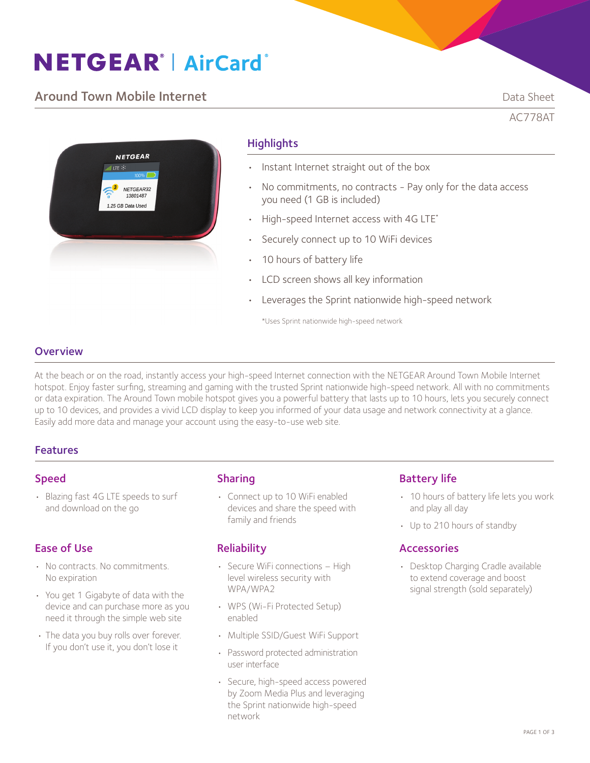# **NETGEAR® AirCard®**

# **Around Town Mobile Internet Community Community Community Community Community Community Community Community Community Community Community Community Community Community Community Community Community Community Community Com**

AC778AT



# **Highlights**

- Instant Internet straight out of the box
- No commitments, no contracts Pay only for the data access you need (1 GB is included)
- High-speed Internet access with 4G LTE\*
- Securely connect up to 10 WiFi devices
- 10 hours of battery life
- LCD screen shows all key information
- Leverages the Sprint nationwide high-speed network

\*Uses Sprint nationwide high-speed network

# **Overview**

At the beach or on the road, instantly access your high-speed Internet connection with the NETGEAR Around Town Mobile Internet hotspot. Enjoy faster surfing, streaming and gaming with the trusted Sprint nationwide high-speed network. All with no commitments or data expiration. The Around Town mobile hotspot gives you a powerful battery that lasts up to 10 hours, lets you securely connect up to 10 devices, and provides a vivid LCD display to keep you informed of your data usage and network connectivity at a glance. Easily add more data and manage your account using the easy-to-use web site.

## Features

## Speed

• Blazing fast 4G LTE speeds to surf and download on the go

# Ease of Use

- No contracts. No commitments. No expiration
- You get 1 Gigabyte of data with the device and can purchase more as you need it through the simple web site
- The data you buy rolls over forever. If you don't use it, you don't lose it

## Sharing

• Connect up to 10 WiFi enabled devices and share the speed with family and friends

## **Reliability**

- Secure WiFi connections High level wireless security with WPA/WPA2
- WPS (Wi-Fi Protected Setup) enabled
- Multiple SSID/Guest WiFi Support
- Password protected administration user interface
- Secure, high-speed access powered by Zoom Media Plus and leveraging the Sprint nationwide high-speed network

## Battery life

- 10 hours of battery life lets you work and play all day
- Up to 210 hours of standby

## Accessories

• Desktop Charging Cradle available to extend coverage and boost signal strength (sold separately)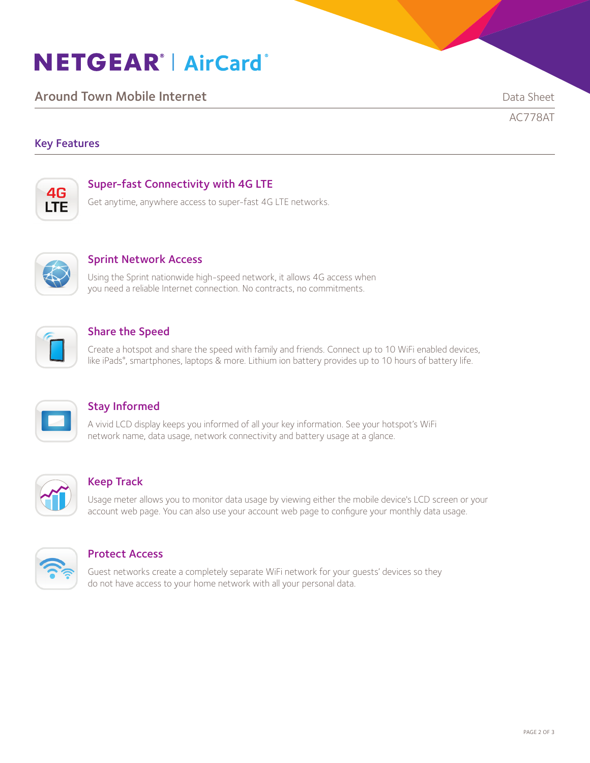# **NETGEAR® AirCard®**

**Around Town Mobile Internet Community Community Community Community Community Community Community Community Community Community Community Community Community Community Community Community Community Community Community Com** 

AC778AT

# Key Features



# Super-fast Connectivity with 4G LTE

Get anytime, anywhere access to super-fast 4G LTE networks.



## Sprint Network Access

Using the Sprint nationwide high-speed network, it allows 4G access when you need a reliable Internet connection. No contracts, no commitments.



# Share the Speed

Create a hotspot and share the speed with family and friends. Connect up to 10 WiFi enabled devices, like iPads® , smartphones, laptops & more. Lithium ion battery provides up to 10 hours of battery life.



# Stay Informed

A vivid LCD display keeps you informed of all your key information. See your hotspot's WiFi network name, data usage, network connectivity and battery usage at a glance.



## Keep Track

Usage meter allows you to monitor data usage by viewing either the mobile device's LCD screen or your account web page. You can also use your account web page to configure your monthly data usage.



## Protect Access

Guest networks create a completely separate WiFi network for your guests' devices so they do not have access to your home network with all your personal data.